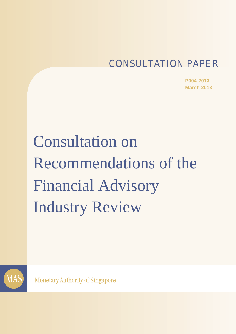# CONSULTATION PAPER

**P004-2013 March 2013**

Consultation on Recommendations of the Financial Advisory Industry Review



**Monetary Authority of Singapore**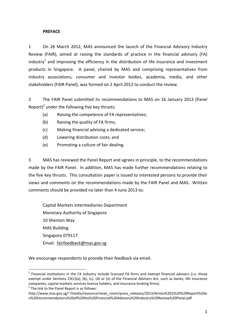#### **PREFACE**

1 On 26 March 2012, MAS announced the launch of the Financial Advisory Industry Review (FAIR), aimed at raising the standards of practice in the financial advisory (FA) industry<sup>1</sup> and improving the efficiency in the distribution of life insurance and investment products in Singapore. A panel, chaired by MAS and comprising representatives from industry associations, consumer and investor bodies, academia, media, and other stakeholders (FAIR Panel), was formed on 2 April 2012 to conduct the review.

2 The FAIR Panel submitted its recommendations to MAS on 16 January 2013 (Panel Report)<sup>2</sup> under the following five key thrusts:

- (a) Raising the competence of FA representatives;
- (b) Raising the quality of FA firms;
- (c) Making financial advising a dedicated service;
- (d) Lowering distribution costs; and
- (e) Promoting a culture of fair dealing.

3 MAS has reviewed the Panel Report and agrees in principle, to the recommendations made by the FAIR Panel. In addition, MAS has made further recommendations relating to the five key thrusts. This consultation paper is issued to interested persons to provide their views and comments on the recommendations made by the FAIR Panel and MAS. Written comments should be provided no later than 4 June 2013 to:

Capital Markets Intermediaries Department Monetary Authority of Singapore 10 Shenton Way MAS Building Singapore 079117 Email: fairfeedback@mas.gov.sg

We encourage respondents to provide their feedback via email.

1

 $1$  Financial institutions in the FA industry include licensed FA firms and exempt financial advisers (i.e. those exempt under Sections 23(1)(a), (b), (c), (d) or (e) of the Financial Advisers Act, such as banks, life insurance companies, capital markets services licence holders, and insurance broking firms).  $2^2$  The link to the Panel Report is as follows:

http://www.mas.gov.sg/~/media/resource/news\_room/press\_releases/2013/Annex%201%20%20Report%20o n%20recommendations%20of%20the%20Financial%20Advisory%20Industry%20Review%20Panel.pdf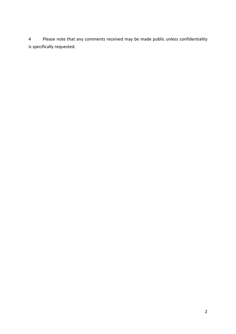Please note that any comments received may be made public unless confidentiality is specifically requested.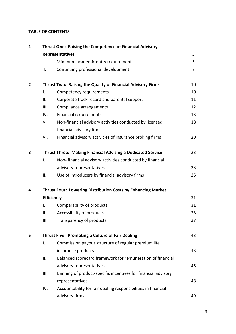#### **TABLE OF CONTENTS**

| $\mathbf{1}$ |                                                        | Thrust One: Raising the Competence of Financial Advisory            |    |  |  |
|--------------|--------------------------------------------------------|---------------------------------------------------------------------|----|--|--|
|              |                                                        | Representatives                                                     | 5  |  |  |
|              | I.                                                     | Minimum academic entry requirement                                  | 5  |  |  |
|              | ΙΙ.                                                    | Continuing professional development                                 | 7  |  |  |
| $\mathbf{2}$ |                                                        | Thrust Two: Raising the Quality of Financial Advisory Firms         | 10 |  |  |
|              | I.                                                     | Competency requirements                                             | 10 |  |  |
|              | ΙΙ.                                                    | Corporate track record and parental support                         | 11 |  |  |
|              | Ш.                                                     | Compliance arrangements                                             | 12 |  |  |
|              | IV.                                                    | <b>Financial requirements</b>                                       | 13 |  |  |
|              | V.                                                     | Non-financial advisory activities conducted by licensed             | 18 |  |  |
|              |                                                        | financial advisory firms                                            |    |  |  |
|              | VI.                                                    | Financial advisory activities of insurance broking firms            | 20 |  |  |
| 3            |                                                        | <b>Thrust Three: Making Financial Advising a Dedicated Service</b>  | 23 |  |  |
|              | I.                                                     | Non-financial advisory activities conducted by financial            |    |  |  |
|              |                                                        | advisory representatives                                            | 23 |  |  |
|              | ΙΙ.                                                    | Use of introducers by financial advisory firms                      | 25 |  |  |
| 4            |                                                        | <b>Thrust Four: Lowering Distribution Costs by Enhancing Market</b> |    |  |  |
|              |                                                        | <b>Efficiency</b>                                                   | 31 |  |  |
|              | I.                                                     | Comparability of products                                           | 31 |  |  |
|              | ΙΙ.                                                    | Accessibility of products                                           | 33 |  |  |
|              | Ш.                                                     | Transparency of products                                            | 37 |  |  |
| 5            | Thrust Five: Promoting a Culture of Fair Dealing<br>43 |                                                                     |    |  |  |
|              | I.                                                     | Commission payout structure of regular premium life                 |    |  |  |
|              |                                                        | insurance products                                                  | 43 |  |  |
|              | ΙΙ.                                                    | Balanced scorecard framework for remuneration of financial          |    |  |  |
|              |                                                        | advisory representatives                                            | 45 |  |  |
|              | Ш.                                                     | Banning of product-specific incentives for financial advisory       |    |  |  |
|              |                                                        | representatives                                                     | 48 |  |  |
|              | IV.                                                    | Accountability for fair dealing responsibilities in financial       |    |  |  |
|              |                                                        | advisory firms                                                      | 49 |  |  |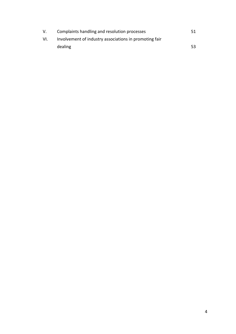| V.  | Complaints handling and resolution processes           | 51  |
|-----|--------------------------------------------------------|-----|
| VI. | Involvement of industry associations in promoting fair |     |
|     | dealing                                                | 53. |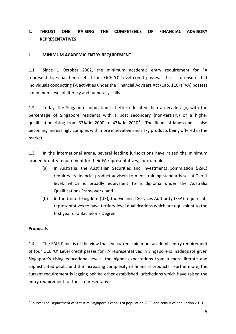# **1. THRUST ONE: RAISING THE COMPETENCE OF FINANCIAL ADVISORY REPRESENTATIVES**

#### **I. MINIMUM ACADEMIC ENTRY REQUIREMENT**

1.1 Since 1 October 2002, the minimum academic entry requirement for FA representatives has been set at four GCE 'O' Level credit passes. This is to ensure that individuals conducting FA activities under the Financial Advisers Act (Cap. 110) (FAA) possess a minimum level of literacy and numeracy skills.

1.2 Today, the Singapore population is better educated than a decade ago, with the percentage of Singapore residents with a post secondary (non‐tertiary) or a higher qualification rising from 33% in 2000 to 47% in 2010<sup>3</sup>. The financial landscape is also becoming increasingly complex with more innovative and risky products being offered in the market.

1.3 In the international arena, several leading jurisdictions have raised the minimum academic entry requirement for their FA representatives, for example:

- (a) In Australia, the Australian Securities and Investments Commission (ASIC) requires its financial product advisers to meet training standards set at Tier 1 level, which is broadly equivalent to a diploma under the Australia Qualifications Framework; and
- (b) In the United Kingdom (UK), the Financial Services Authority (FSA) requires its representatives to have tertiary‐level qualifications which are equivalent to the first year of a Bachelor's Degree.

#### **Proposals**

1

1.4 The FAIR Panel is of the view that the current minimum academic entry requirement of four GCE 'O' Level credit passes for FA representatives in Singapore is inadequate given Singapore's rising educational levels, the higher expectations from a more literate and sophisticated public and the increasing complexity of financial products. Furthermore, the current requirement is lagging behind other established jurisdictions which have raised the entry requirement for their representatives.

 $3$  Source: The Department of Statistics Singapore's census of population 2000 and census of population 2010.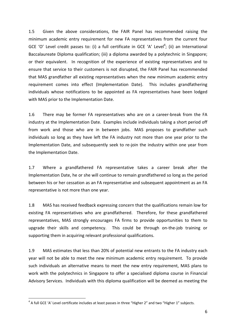1.5 Given the above considerations, the FAIR Panel has recommended raising the minimum academic entry requirement for new FA representatives from the current four GCE 'O' Level credit passes to: (i) a full certificate in GCE 'A' Level<sup>4</sup>; (ii) an International Baccalaureate Diploma qualification; (iii) a diploma awarded by a polytechnic in Singapore; or their equivalent. In recognition of the experience of existing representatives and to ensure that service to their customers is not disrupted, the FAIR Panel has recommended that MAS grandfather all existing representatives when the new minimum academic entry requirement comes into effect (Implementation Date). This includes grandfathering individuals whose notifications to be appointed as FA representatives have been lodged with MAS prior to the Implementation Date.

1.6 There may be former FA representatives who are on a career‐break from the FA industry at the Implementation Date. Examples include individuals taking a short period off from work and those who are in between jobs. MAS proposes to grandfather such individuals so long as they have left the FA industry not more than one year prior to the Implementation Date, and subsequently seek to re-join the industry within one year from the Implementation Date.

1.7 Where a grandfathered FA representative takes a career break after the Implementation Date, he or she will continue to remain grandfathered so long as the period between his or her cessation as an FA representative and subsequent appointment as an FA representative is not more than one year.

1.8 MAS has received feedback expressing concern that the qualifications remain low for existing FA representatives who are grandfathered. Therefore, for these grandfathered representatives, MAS strongly encourages FA firms to provide opportunities to them to upgrade their skills and competency. This could be through on‐the‐job training or supporting them in acquiring relevant professional qualifications.

1.9 MAS estimates that less than 20% of potential new entrants to the FA industry each year will not be able to meet the new minimum academic entry requirement. To provide such individuals an alternative means to meet the new entry requirement, MAS plans to work with the polytechnics in Singapore to offer a specialised diploma course in Financial Advisory Services. Individuals with this diploma qualification will be deemed as meeting the

1

<sup>&</sup>lt;sup>4</sup> A full GCE 'A' Level certificate includes at least passes in three "Higher 2" and two "Higher 1" subjects.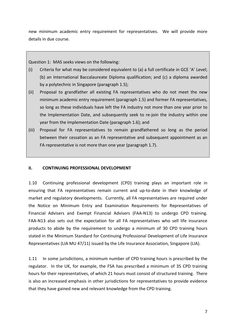new minimum academic entry requirement for representatives. We will provide more details in due course.

Question 1: MAS seeks views on the following:

- (i) Criteria for what may be considered equivalent to (a) a full certificate in GCE 'A' Level; (b) an International Baccalaureate Diploma qualification; and (c) a diploma awarded by a polytechnic in Singapore (paragraph 1.5);
- (ii) Proposal to grandfather all existing FA representatives who do not meet the new minimum academic entry requirement (paragraph 1.5) and former FA representatives, so long as these individuals have left the FA industry not more than one year prior to the Implementation Date, and subsequently seek to re‐join the industry within one year from the Implementation Date (paragraph 1.6); and
- (iii) Proposal for FA representatives to remain grandfathered so long as the period between their cessation as an FA representative and subsequent appointment as an FA representative is not more than one year (paragraph 1.7).

## **II. CONTINUING PROFESSIONAL DEVELOPMENT**

1.10 Continuing professional development (CPD) training plays an important role in ensuring that FA representatives remain current and up-to-date in their knowledge of market and regulatory developments. Currently, all FA representatives are required under the Notice on Minimum Entry and Examination Requirements for Representatives of Financial Advisers and Exempt Financial Advisers (FAA‐N13) to undergo CPD training. FAA-N13 also sets out the expectation for all FA representatives who sell life insurance products to abide by the requirement to undergo a minimum of 30 CPD training hours stated in the Minimum Standard for Continuing Professional Development of Life Insurance Representatives (LIA MU 47/11) issued by the Life Insurance Association, Singapore (LIA).

1.11 In some jurisdictions, a minimum number of CPD training hours is prescribed by the regulator. In the UK, for example, the FSA has prescribed a minimum of 35 CPD training hours for their representatives, of which 21 hours must consist of structured training. There is also an increased emphasis in other jurisdictions for representatives to provide evidence that they have gained new and relevant knowledge from the CPD training.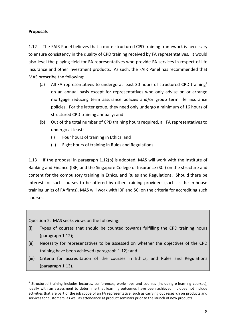# **Proposals**

1.12 The FAIR Panel believes that a more structured CPD training framework is necessary to ensure consistency in the quality of CPD training received by FA representatives. It would also level the playing field for FA representatives who provide FA services in respect of life insurance and other investment products. As such, the FAIR Panel has recommended that MAS prescribe the following:

- (a) All FA representatives to undergo at least 30 hours of structured CPD training<sup>5</sup> on an annual basis except for representatives who only advise on or arrange mortgage reducing term assurance policies and/or group term life insurance policies. For the latter group, they need only undergo a minimum of 16 hours of structured CPD training annually; and
- (b) Out of the total number of CPD training hours required, all FA representatives to undergo at least:
	- (i) Four hours of training in Ethics, and
	- (ii) Eight hours of training in Rules and Regulations.

1.13 If the proposal in paragraph 1.12(b) is adopted, MAS will work with the Institute of Banking and Finance (IBF) and the Singapore College of Insurance (SCI) on the structure and content for the compulsory training in Ethics, and Rules and Regulations. Should there be interest for such courses to be offered by other training providers (such as the in‐house training units of FA firms), MAS will work with IBF and SCI on the criteria for accrediting such courses.

Question 2.MAS seeks views on the following:

1

- (i) Types of courses that should be counted towards fulfilling the CPD training hours (paragraph 1.12);
- (ii) Necessity for representatives to be assessed on whether the objectives of the CPD training have been achieved (paragraph 1.12); and
- (iii) Criteria for accreditation of the courses in Ethics, and Rules and Regulations (paragraph 1.13).

<sup>&</sup>lt;sup>5</sup> Structured training includes lectures, conferences, workshops and courses (including e-learning courses), ideally with an assessment to determine that learning outcomes have been achieved. It does not include activities that are part of the job scope of an FA representative, such as carrying out research on products and services for customers, as well as attendance at product seminars prior to the launch of new products.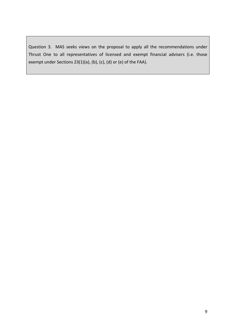Question 3. MAS seeks views on the proposal to apply all the recommendations under Thrust One to all representatives of licensed and exempt financial advisers (i.e. those exempt under Sections 23(1)(a), (b), (c), (d) or (e) of the FAA).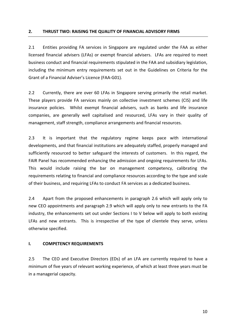2.1 Entities providing FA services in Singapore are regulated under the FAA as either licensed financial advisers (LFAs) or exempt financial advisers. LFAs are required to meet business conduct and financial requirements stipulated in the FAA and subsidiary legislation, including the minimum entry requirements set out in the Guidelines on Criteria for the Grant of a Financial Adviser's Licence (FAA‐G01).

2.2 Currently, there are over 60 LFAs in Singapore serving primarily the retail market. These players provide FA services mainly on collective investment schemes (CIS) and life insurance policies. Whilst exempt financial advisers, such as banks and life insurance companies, are generally well capitalised and resourced, LFAs vary in their quality of management, staff strength, compliance arrangements and financial resources.

2.3 It is important that the regulatory regime keeps pace with international developments, and that financial institutions are adequately staffed, properly managed and sufficiently resourced to better safeguard the interests of customers. In this regard, the FAIR Panel has recommended enhancing the admission and ongoing requirements for LFAs. This would include raising the bar on management competency, calibrating the requirements relating to financial and compliance resources according to the type and scale of their business, and requiring LFAs to conduct FA services as a dedicated business.

2.4 Apart from the proposed enhancements in paragraph 2.6 which will apply only to new CEO appointments and paragraph 2.9 which will apply only to new entrants to the FA industry, the enhancements set out under Sections I to V below will apply to both existing LFAs and new entrants. This is irrespective of the type of clientele they serve, unless otherwise specified.

#### **I. COMPETENCY REQUIREMENTS**

2.5 The CEO and Executive Directors (EDs) of an LFA are currently required to have a minimum of five years of relevant working experience, of which at least three years must be in a managerial capacity.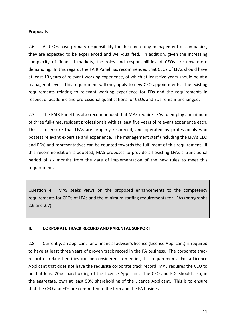# **Proposals**

2.6 As CEOs have primary responsibility for the day-to-day management of companies, they are expected to be experienced and well‐qualified. In addition, given the increasing complexity of financial markets, the roles and responsibilities of CEOs are now more demanding. In this regard, the FAIR Panel has recommended that CEOs of LFAs should have at least 10 years of relevant working experience, of which at least five years should be at a managerial level. This requirement will only apply to new CEO appointments. The existing requirements relating to relevant working experience for EDs and the requirements in respect of academic and professional qualifications for CEOs and EDs remain unchanged.

2.7 The FAIR Panel has also recommended that MAS require LFAs to employ a minimum of three full‐time, resident professionals with at least five years of relevant experience each. This is to ensure that LFAs are properly resourced, and operated by professionals who possess relevant expertise and experience. The management staff (including the LFA's CEO and EDs) and representatives can be counted towards the fulfilment of this requirement. If this recommendation is adopted, MAS proposes to provide all existing LFAs a transitional period of six months from the date of implementation of the new rules to meet this requirement.

Question 4: MAS seeks views on the proposed enhancements to the competency requirements for CEOs of LFAs and the minimum staffing requirements for LFAs (paragraphs 2.6 and 2.7).

# **II. CORPORATE TRACK RECORD AND PARENTAL SUPPORT**

2.8 Currently, an applicant for a financial adviser's licence (Licence Applicant) is required to have at least three years of proven track record in the FA business. The corporate track record of related entities can be considered in meeting this requirement. For a Licence Applicant that does not have the requisite corporate track record, MAS requires the CEO to hold at least 20% shareholding of the Licence Applicant. The CEO and EDs should also, in the aggregate, own at least 50% shareholding of the Licence Applicant. This is to ensure that the CEO and EDs are committed to the firm and the FA business.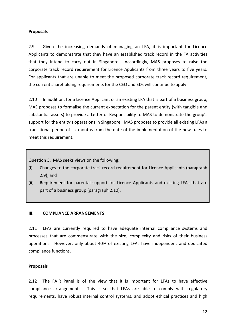### **Proposals**

2.9 Given the increasing demands of managing an LFA, it is important for Licence Applicants to demonstrate that they have an established track record in the FA activities that they intend to carry out in Singapore. Accordingly, MAS proposes to raise the corporate track record requirement for Licence Applicants from three years to five years. For applicants that are unable to meet the proposed corporate track record requirement, the current shareholding requirements for the CEO and EDs will continue to apply.

2.10 In addition, for a Licence Applicant or an existing LFA that is part of a business group, MAS proposes to formalise the current expectation for the parent entity (with tangible and substantial assets) to provide a Letter of Responsibility to MAS to demonstrate the group's support for the entity's operations in Singapore. MAS proposes to provide all existing LFAs a transitional period of six months from the date of the implementation of the new rules to meet this requirement.

Question 5. MAS seeks views on the following:

- (i) Changes to the corporate track record requirement for Licence Applicants (paragraph 2.9); and
- (ii) Requirement for parental support for Licence Applicants and existing LFAs that are part of a business group (paragraph 2.10).

#### **III. COMPLIANCE ARRANGEMENTS**

2.11 LFAs are currently required to have adequate internal compliance systems and processes that are commensurate with the size, complexity and risks of their business operations. However, only about 40% of existing LFAs have independent and dedicated compliance functions.

#### **Proposals**

2.12 The FAIR Panel is of the view that it is important for LFAs to have effective compliance arrangements. This is so that LFAs are able to comply with regulatory requirements, have robust internal control systems, and adopt ethical practices and high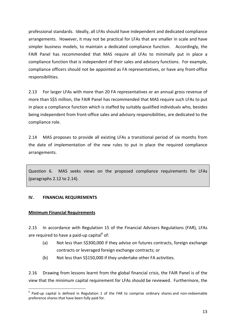professional standards. Ideally, all LFAs should have independent and dedicated compliance arrangements. However, it may not be practical for LFAs that are smaller in scale and have simpler business models, to maintain a dedicated compliance function. Accordingly, the FAIR Panel has recommended that MAS require all LFAs to minimally put in place a compliance function that is independent of their sales and advisory functions. For example, compliance officers should not be appointed as FA representatives, or have any front‐office responsibilities.

2.13 For larger LFAs with more than 20 FA representatives or an annual gross revenue of more than S\$5 million, the FAIR Panel has recommended that MAS require such LFAs to put in place a compliance function which is staffed by suitably qualified individuals who, besides being independent from front‐office sales and advisory responsibilities, are dedicated to the compliance role.

2.14 MAS proposes to provide all existing LFAs a transitional period of six months from the date of implementation of the new rules to put in place the required compliance arrangements.

Question 6. MAS seeks views on the proposed compliance requirements for LFAs (paragraphs 2.12 to 2.14).

#### **IV. FINANCIAL REQUIREMENTS**

#### **Minimum Financial Requirements**

1

2.15 In accordance with Regulation 15 of the Financial Advisers Regulations (FAR), LFAs are required to have a paid-up capital $6$  of:

- (a) Not less than S\$300,000 if they advise on futures contracts, foreign exchange contracts or leveraged foreign exchange contracts; or
- (b) Not less than S\$150,000 if they undertake other FA activities.

2.16 Drawing from lessons learnt from the global financial crisis, the FAIR Panel is of the view that the minimum capital requirement for LFAs should be reviewed. Furthermore, the

 $6$  Paid-up capital is defined in Regulation 1 of the FAR to comprise ordinary shares and non-redeemable preference shares that have been fully paid for.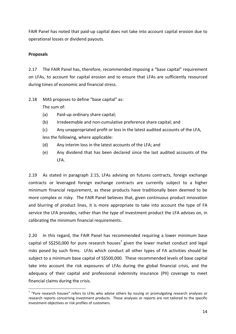FAIR Panel has noted that paid‐up capital does not take into account capital erosion due to operational losses or dividend payouts.

# **Proposals**

1

2.17 The FAIR Panel has, therefore, recommended imposing a "base capital" requirement on LFAs, to account for capital erosion and to ensure that LFAs are sufficiently resourced during times of economic and financial stress.

2.18 MAS proposes to define "base capital" as: The sum of:

- (a) Paid‐up ordinary share capital;
- (b) Irredeemable and non‐cumulative preference share capital; and
- (c) Any unappropriated profit or loss in the latest audited accounts of the LFA, less the following, where applicable:
- (d) Any interim loss in the latest accounts of the LFA; and
- (e) Any dividend that has been declared since the last audited accounts of the LFA.

2.19 As stated in paragraph 2.15, LFAs advising on futures contracts, foreign exchange contracts or leveraged foreign exchange contracts are currently subject to a higher minimum financial requirement, as these products have traditionally been deemed to be more complex or risky. The FAIR Panel believes that, given continuous product innovation and blurring of product lines, it is more appropriate to take into account the type of FA service the LFA provides, rather than the type of investment product the LFA advises on, in calibrating the minimum financial requirements.

2.20 In this regard, the FAIR Panel has recommended requiring a lower minimum base capital of  $S\$ \$250,000 for pure research houses<sup>7</sup> given the lower market conduct and legal risks posed by such firms. LFAs which conduct all other types of FA activities should be subject to a minimum base capital of S\$500,000. These recommended levels of base capital take into account the risk exposures of LFAs during the global financial crisis, and the adequacy of their capital and professional indemnity insurance (PII) coverage to meet financial claims during the crisis.

 $7$  "Pure research houses" refers to LFAs who advise others by issuing or promulgating research analyses or research reports concerning investment products. These analyses or reports are not tailored to the specific investment objectives or risk profiles of customers.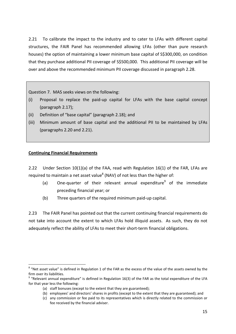2.21 To calibrate the impact to the industry and to cater to LFAs with different capital structures, the FAIR Panel has recommended allowing LFAs (other than pure research houses) the option of maintaining a lower minimum base capital of S\$300,000, on condition that they purchase additional PII coverage of S\$500,000. This additional PII coverage will be over and above the recommended minimum PII coverage discussed in paragraph 2.28.

Question 7. MAS seeks views on the following:

- (i) Proposal to replace the paid‐up capital for LFAs with the base capital concept (paragraph 2.17);
- (ii) Definition of "base capital" (paragraph 2.18); and
- (iii) Minimum amount of base capital and the additional PII to be maintained by LFAs (paragraphs 2.20 and 2.21).

# **Continuing Financial Requirements**

<u>.</u>

2.22 Under Section 10(1)(a) of the FAA, read with Regulation 16(1) of the FAR, LFAs are required to maintain a net asset value<sup>8</sup> (NAV) of not less than the higher of:

- (a) One-quarter of their relevant annual expenditure<sup>9</sup> of the immediate preceding financial year; or
- (b) Three quarters of the required minimum paid‐up capital.

2.23 The FAIR Panel has pointed out that the current continuing financial requirements do not take into account the extent to which LFAs hold illiquid assets. As such, they do not adequately reflect the ability of LFAs to meet their short-term financial obligations.

<sup>&</sup>lt;sup>8</sup> "Net asset value" is defined in Regulation 1 of the FAR as the excess of the value of the assets owned by the firm over its liabilities.<br><sup>9</sup> "Relevant annual expenditure" is defined in Regulation 16(3) of the FAR as the total expenditure of the LFA

for that year less the following:

<sup>(</sup>a) staff bonuses (except to the extent that they are guaranteed);

<sup>(</sup>b) employees' and directors' shares in profits (except to the extent that they are guaranteed); and

<sup>(</sup>c) any commission or fee paid to its representatives which is directly related to the commission or fee received by the financial adviser.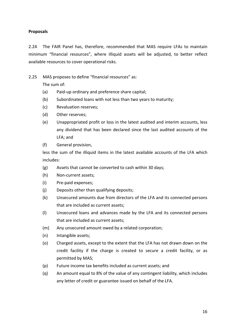# **Proposals**

2.24 The FAIR Panel has, therefore, recommended that MAS require LFAs to maintain minimum "financial resources", where illiquid assets will be adjusted, to better reflect available resources to cover operational risks.

2.25 MAS proposes to define "financial resources" as:

The sum of:

- (a) Paid‐up ordinary and preference share capital;
- (b) Subordinated loans with not less than two years to maturity;
- (c) Revaluation reserves;
- (d) Other reserves;
- (e) Unappropriated profit or loss in the latest audited and interim accounts, less any dividend that has been declared since the last audited accounts of the LFA; and
- (f) General provision,

less the sum of the illiquid items in the latest available accounts of the LFA which includes:

- (g) Assets that cannot be converted to cash within 30 days;
- (h) Non‐current assets;
- (i) Pre‐paid expenses;
- (j) Deposits other than qualifying deposits;
- (k) Unsecured amounts due from directors of the LFA and its connected persons that are included as current assets;
- (l) Unsecured loans and advances made by the LFA and its connected persons that are included as current assets;
- (m) Any unsecured amount owed by a related corporation;
- (n) Intangible assets;
- (o) Charged assets, except to the extent that the LFA has not drawn down on the credit facility if the charge is created to secure a credit facility, or as permitted by MAS;
- (p) Future income tax benefits included as current assets; and
- (q) An amount equal to 8% of the value of any contingent liability, which includes any letter of credit or guarantee issued on behalf of the LFA.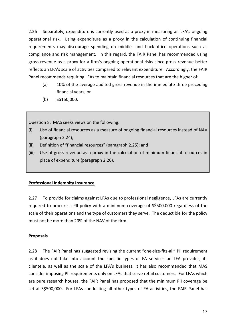2.26 Separately, expenditure is currently used as a proxy in measuring an LFA's ongoing operational risk. Using expenditure as a proxy in the calculation of continuing financial requirements may discourage spending on middle‐ and back‐office operations such as compliance and risk management. In this regard, the FAIR Panel has recommended using gross revenue as a proxy for a firm's ongoing operational risks since gross revenue better reflects an LFA's scale of activities compared to relevant expenditure. Accordingly, the FAIR Panel recommends requiring LFAs to maintain financial resources that are the higher of:

- (a) 10% of the average audited gross revenue in the immediate three preceding financial years; or
- (b) S\$150,000.

Question 8. MAS seeks views on the following:

- (i) Use of financial resources as a measure of ongoing financial resources instead of NAV (paragraph 2.24);
- (ii) Definition of "financial resources" (paragraph 2.25); and
- (iii) Use of gross revenue as a proxy in the calculation of minimum financial resources in place of expenditure (paragraph 2.26).

# **Professional Indemnity Insurance**

2.27 To provide for claims against LFAs due to professional negligence, LFAs are currently required to procure a PII policy with a minimum coverage of S\$500,000 regardless of the scale of their operations and the type of customers they serve. The deductible for the policy must not be more than 20% of the NAV of the firm.

# **Proposals**

2.28 The FAIR Panel has suggested revising the current "one-size-fits-all" PII requirement as it does not take into account the specific types of FA services an LFA provides, its clientele, as well as the scale of the LFA's business. It has also recommended that MAS consider imposing PII requirements only on LFAs that serve retail customers. For LFAs which are pure research houses, the FAIR Panel has proposed that the minimum PII coverage be set at S\$500,000. For LFAs conducting all other types of FA activities, the FAIR Panel has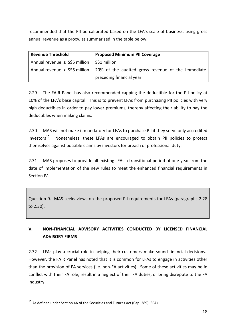recommended that the PII be calibrated based on the LFA's scale of business, using gross annual revenue as a proxy, as summarised in the table below:

| <b>Revenue Threshold</b>           | <b>Proposed Minimum PII Coverage</b>              |  |
|------------------------------------|---------------------------------------------------|--|
| Annual revenue $\leq$ S\$5 million | S\$1 million                                      |  |
| Annual revenue > S\$5 million      | 20% of the audited gross revenue of the immediate |  |
|                                    | preceding financial year                          |  |

2.29 The FAIR Panel has also recommended capping the deductible for the PII policy at 10% of the LFA's base capital. This is to prevent LFAs from purchasing PII policies with very high deductibles in order to pay lower premiums, thereby affecting their ability to pay the deductibles when making claims.

2.30 MAS will not make it mandatory for LFAs to purchase PII if they serve only accredited  $investors<sup>10</sup>$ . Nonetheless, these LFAs are encouraged to obtain PII policies to protect themselves against possible claims by investors for breach of professional duty.

2.31 MAS proposes to provide all existing LFAs a transitional period of one year from the date of implementation of the new rules to meet the enhanced financial requirements in Section IV.

Question 9. MAS seeks views on the proposed PII requirements for LFAs (paragraphs 2.28 to 2.30).

# **V. NON‐FINANCIAL ADVISORY ACTIVITIES CONDUCTED BY LICENSED FINANCIAL ADVISORY FIRMS**

2.32 LFAs play a crucial role in helping their customers make sound financial decisions. However, the FAIR Panel has noted that it is common for LFAs to engage in activities other than the provision of FA services (i.e. non‐FA activities). Some of these activities may be in conflict with their FA role, result in a neglect of their FA duties, or bring disrepute to the FA industry.

<sup>1</sup>  $10$  As defined under Section 4A of the Securities and Futures Act (Cap. 289) (SFA).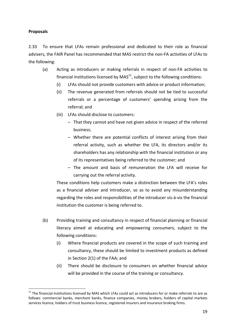# **Proposals**

1

2.33 To ensure that LFAs remain professional and dedicated to their role as financial advisers, the FAIR Panel has recommended that MAS restrict the non‐FA activities of LFAs to the following:

- (a) Acting as introducers or making referrals in respect of non‐FA activities to financial institutions licensed by  $MAS<sup>11</sup>$ , subject to the following conditions:
	- (i) LFAs should not provide customers with advice or product information;
	- (ii) The revenue generated from referrals should not be tied to successful referrals or a percentage of customers' spending arising from the referral; and
	- (iii) LFAs should disclose to customers:
		- That they cannot and have not given advice in respect of the referred business;
		- Whether there are potential conflicts of interest arising from their referral activity, such as whether the LFA, its directors and/or its shareholders has any relationship with the financial institution or any of its representatives being referred to the customer; and
		- The amount and basis of remuneration the LFA will receive for carrying out the referral activity.

These conditions help customers make a distinction between the LFA's roles as a financial adviser and introducer, so as to avoid any misunderstanding regarding the roles and responsibilities of the introducer vis‐à‐vis the financial institution the customer is being referred to.

- (b) Providing training and consultancy in respect of financial planning or financial literacy aimed at educating and empowering consumers, subject to the following conditions:
	- (i) Where financial products are covered in the scope of such training and consultancy, these should be limited to investment products as defined in Section 2(1) of the FAA; and
	- (ii) There should be disclosure to consumers on whether financial advice will be provided in the course of the training or consultancy.

 $11$  The financial institutions licensed by MAS which LFAs could act as introducers for or make referrals to are as follows: commercial banks, merchant banks, finance companies, money brokers, holders of capital markets services licence, holders of trust business licence, registered insurers and insurance broking firms.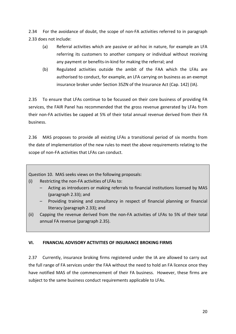2.34 For the avoidance of doubt, the scope of non‐FA activities referred to in paragraph 2.33 does not include:

- (a) Referral activities which are passive or ad‐hoc in nature, for example an LFA referring its customers to another company or individual without receiving any payment or benefits‐in‐kind for making the referral; and
- (b) Regulated activities outside the ambit of the FAA which the LFAs are authorised to conduct, for example, an LFA carrying on business as an exempt insurance broker under Section 35ZN of the Insurance Act (Cap. 142) (IA).

2.35 To ensure that LFAs continue to be focussed on their core business of providing FA services, the FAIR Panel has recommended that the gross revenue generated by LFAs from their non‐FA activities be capped at 5% of their total annual revenue derived from their FA business.

2.36 MAS proposes to provide all existing LFAs a transitional period of six months from the date of implementation of the new rules to meet the above requirements relating to the scope of non‐FA activities that LFAs can conduct.

Question 10. MAS seeks views on the following proposals:

- (i) Restricting the non‐FA activities of LFAs to:
	- Acting as introducers or making referrals to financial institutions licensed by MAS (paragraph 2.33); and
	- Providing training and consultancy in respect of financial planning or financial literacy (paragraph 2.33); and
- (ii) Capping the revenue derived from the non‐FA activities of LFAs to 5% of their total annual FA revenue (paragraph 2.35).

# **VI. FINANCIAL ADVISORY ACTIVITIES OF INSURANCE BROKING FIRMS**

2.37 Currently, insurance broking firms registered under the IA are allowed to carry out the full range of FA services under the FAA without the need to hold an FA licence once they have notified MAS of the commencement of their FA business. However, these firms are subject to the same business conduct requirements applicable to LFAs.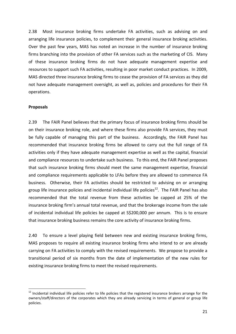2.38 Most insurance broking firms undertake FA activities, such as advising on and arranging life insurance policies, to complement their general insurance broking activities. Over the past few years, MAS has noted an increase in the number of insurance broking firms branching into the provision of other FA services such as the marketing of CIS. Many of these insurance broking firms do not have adequate management expertise and resources to support such FA activities, resulting in poor market conduct practices. In 2009, MAS directed three insurance broking firms to cease the provision of FA services as they did not have adequate management oversight, as well as, policies and procedures for their FA operations.

#### **Proposals**

1

2.39 The FAIR Panel believes that the primary focus of insurance broking firms should be on their insurance broking role, and where these firms also provide FA services, they must be fully capable of managing this part of the business. Accordingly, the FAIR Panel has recommended that insurance broking firms be allowed to carry out the full range of FA activities only if they have adequate management expertise as well as the capital, financial and compliance resources to undertake such business. To this end, the FAIR Panel proposes that such insurance broking firms should meet the same management expertise, financial and compliance requirements applicable to LFAs before they are allowed to commence FA business. Otherwise, their FA activities should be restricted to advising on or arranging group life insurance policies and incidental individual life policies<sup>12</sup>. The FAIR Panel has also recommended that the total revenue from these activities be capped at 25% of the insurance broking firm's annual total revenue, and that the brokerage income from the sale of incidental individual life policies be capped at S\$200,000 per annum. This is to ensure that insurance broking business remains the core activity of insurance broking firms.

2.40 To ensure a level playing field between new and existing insurance broking firms, MAS proposes to require all existing insurance broking firms who intend to or are already carrying on FA activities to comply with the revised requirements. We propose to provide a transitional period of six months from the date of implementation of the new rules for existing insurance broking firms to meet the revised requirements.

<sup>&</sup>lt;sup>12</sup> Incidental individual life policies refer to life policies that the registered insurance brokers arrange for the owners/staff/directors of the corporates which they are already servicing in terms of general or group life policies.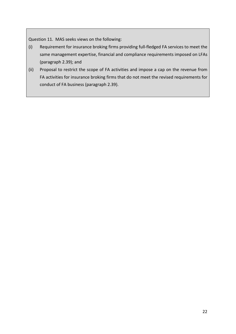Question 11. MAS seeks views on the following:

- (i) Requirement for insurance broking firms providing full‐fledged FA services to meet the same management expertise, financial and compliance requirements imposed on LFAs (paragraph 2.39); and
- (ii) Proposal to restrict the scope of FA activities and impose a cap on the revenue from FA activities for insurance broking firms that do not meet the revised requirements for conduct of FA business (paragraph 2.39).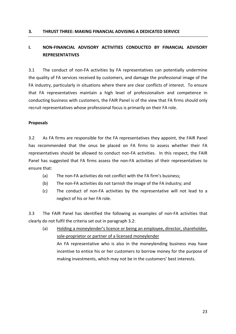### **3. THRUST THREE: MAKING FINANCIAL ADVISING A DEDICATED SERVICE**

# **I. NON‐FINANCIAL ADVISORY ACTIVITIES CONDUCTED BY FINANCIAL ADVISORY REPRESENTATIVES**

3.1 The conduct of non‐FA activities by FA representatives can potentially undermine the quality of FA services received by customers, and damage the professional image of the FA industry, particularly in situations where there are clear conflicts of interest. To ensure that FA representatives maintain a high level of professionalism and competence in conducting business with customers, the FAIR Panel is of the view that FA firms should only recruit representatives whose professional focus is primarily on their FA role.

#### **Proposals**

3.2 As FA firms are responsible for the FA representatives they appoint, the FAIR Panel has recommended that the onus be placed on FA firms to assess whether their FA representatives should be allowed to conduct non-FA activities. In this respect, the FAIR Panel has suggested that FA firms assess the non‐FA activities of their representatives to ensure that:

- (a) The non‐FA activities do not conflict with the FA firm's business;
- (b) The non‐FA activities do not tarnish the image of the FA industry; and
- (c) The conduct of non‐FA activities by the representative will not lead to a neglect of his or her FA role.

3.3 The FAIR Panel has identified the following as examples of non‐FA activities that clearly do not fulfil the criteria set out in paragraph 3.2:

(a) Holding a moneylender's licence or being an employee, director, shareholder, sole‐proprietor or partner of a licensed moneylender An FA representative who is also in the moneylending business may have incentive to entice his or her customers to borrow money for the purpose of making investments, which may not be in the customers' best interests.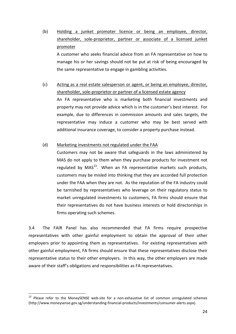(b) Holding a junket promoter licence or being an employee, director, shareholder, sole‐proprietor, partner or associate of a licensed junket promoter A customer who seeks financial advice from an FA representative on how to

manage his or her savings should not be put at risk of being encouraged by the same representative to engage in gambling activities.

(c) Acting as a real estate salesperson or agent, or being an employee, director, shareholder, sole‐proprietor or partner of a licensed estate agency An FA representative who is marketing both financial investments and

property may not provide advice which is in the customer's best interest. For example, due to differences in commission amounts and sales targets, the representative may induce a customer who may be best served with additional insurance coverage, to consider a property purchase instead.

# (d) Marketing investments not regulated under the FAA

Customers may not be aware that safeguards in the laws administered by MAS do not apply to them when they purchase products for investment not regulated by  $MAS^{13}$ . When an FA representative markets such products, customers may be misled into thinking that they are accorded full protection under the FAA when they are not. As the reputation of the FA industry could be tarnished by representatives who leverage on their regulatory status to market unregulated investments to customers, FA firms should ensure that their representatives do not have business interests or hold directorships in firms operating such schemes.

3.4 The FAIR Panel has also recommended that FA firms require prospective representatives with other gainful employment to obtain the approval of their other employers prior to appointing them as representatives. For existing representatives with other gainful employment, FA firms should ensure that these representatives disclose their representative status to their other employers. In this way, the other employers are made aware of their staff's obligations and responsibilities as FA representatives.

1

<sup>&</sup>lt;sup>13</sup> Please refer to the MoneySENSE web-site for a non-exhaustive list of common unregulated schemes (http://www.moneysense.gov.sg/understanding‐financial‐products/investments/consumer‐alerts.aspx).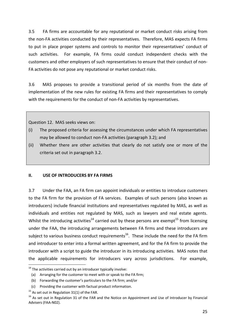3.5 FA firms are accountable for any reputational or market conduct risks arising from the non‐FA activities conducted by their representatives. Therefore, MAS expects FA firms to put in place proper systems and controls to monitor their representatives' conduct of such activities. For example, FA firms could conduct independent checks with the customers and other employers of such representatives to ensure that their conduct of non‐ FA activities do not pose any reputational or market conduct risks.

3.6 MAS proposes to provide a transitional period of six months from the date of implementation of the new rules for existing FA firms and their representatives to comply with the requirements for the conduct of non-FA activities by representatives.

Question 12. MAS seeks views on:

- (i) The proposed criteria for assessing the circumstances under which FA representatives may be allowed to conduct non‐FA activities (paragraph 3.2); and
- (ii) Whether there are other activities that clearly do not satisfy one or more of the criteria set out in paragraph 3.2.

# **II. USE OF INTRODUCERS BY FA FIRMS**

3.7 Under the FAA, an FA firm can appoint individuals or entities to introduce customers to the FA firm for the provision of FA services. Examples of such persons (also known as introducers) include financial institutions and representatives regulated by MAS, as well as individuals and entities not regulated by MAS, such as lawyers and real estate agents. Whilst the introducing activities<sup>14</sup> carried out by these persons are exempt<sup>15</sup> from licensing under the FAA, the introducing arrangements between FA firms and these introducers are subject to various business conduct requirements<sup>16</sup>. These include the need for the FA firm and introducer to enter into a formal written agreement, and for the FA firm to provide the introducer with a script to guide the introducer in its introducing activities. MAS notes that the applicable requirements for introducers vary across jurisdictions. For example,

1

 $14$  The activities carried out by an introducer typically involve:

<sup>(</sup>a) Arranging for the customer to meet with or speak to the FA firm;

<sup>(</sup>b) Forwarding the customer's particulars to the FA firm; and/or

<sup>(</sup>c) Providing the customer with factual product information.

 $15$  As set out in Regulation 31(1) of the FAR.

 $16$  As set out in Regulation 31 of the FAR and the Notice on Appointment and Use of Introducer by Financial Advisers (FAA‐N02).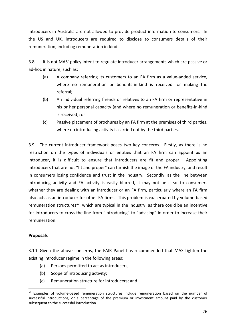introducers in Australia are not allowed to provide product information to consumers. In the US and UK, introducers are required to disclose to consumers details of their remuneration, including remuneration in‐kind.

3.8 It is not MAS' policy intent to regulate introducer arrangements which are passive or ad‐hoc in nature, such as:

- (a) A company referring its customers to an FA firm as a value‐added service, where no remuneration or benefits-in-kind is received for making the referral;
- (b) An individual referring friends or relatives to an FA firm or representative in his or her personal capacity (and where no remuneration or benefits-in-kind is received); or
- (c) Passive placement of brochures by an FA firm at the premises of third parties, where no introducing activity is carried out by the third parties.

3.9 The current introducer framework poses two key concerns. Firstly, as there is no restriction on the types of individuals or entities that an FA firm can appoint as an introducer, it is difficult to ensure that introducers are fit and proper. Appointing introducers that are not "fit and proper" can tarnish the image of the FA industry, and result in consumers losing confidence and trust in the industry. Secondly, as the line between introducing activity and FA activity is easily blurred, it may not be clear to consumers whether they are dealing with an introducer or an FA firm, particularly where an FA firm also acts as an introducer for other FA firms. This problem is exacerbated by volume‐based remuneration structures<sup>17</sup>, which are typical in the industry, as there could be an incentive for introducers to cross the line from "introducing" to "advising" in order to increase their remuneration.

# **Proposals**

1

3.10 Given the above concerns, the FAIR Panel has recommended that MAS tighten the existing introducer regime in the following areas:

- (a) Persons permitted to act as introducers;
- (b) Scope of introducing activity;
- (c) Remuneration structure for introducers; and

Examples of volume-based remuneration structures include remuneration based on the number of successful introductions, or a percentage of the premium or investment amount paid by the customer subsequent to the successful introduction.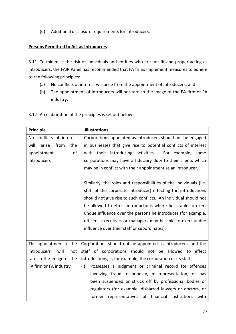(d) Additional disclosure requirements for introducers.

# **Persons Permitted to Act as Introducers**

3.11 To minimise the risk of individuals and entities who are not fit and proper acting as introducers, the FAIR Panel has recommended that FA firms implement measures to adhere to the following principles:

- (a) No conflicts of interest will arise from the appointment of introducers; and
- (b) The appointment of introducers will not tarnish the image of the FA firm or FA industry.
- 3.12 An elaboration of the principles is set out below:

| Principle                    | <b>Illustrations</b>                                               |
|------------------------------|--------------------------------------------------------------------|
| No conflicts of interest     | Corporations appointed as introducers should not be engaged        |
| arise<br>will<br>from<br>the | in businesses that give rise to potential conflicts of interest    |
| appointment<br>of            | with their introducing activities. For example, some               |
| introducers                  | corporations may have a fiduciary duty to their clients which      |
|                              | may be in conflict with their appointment as an introducer.        |
|                              | Similarly, the roles and responsibilities of the individuals (i.e. |
|                              | staff of the corporate introducer) effecting the introductions     |
|                              | should not give rise to such conflicts. An individual should not   |
|                              | be allowed to effect introductions where he is able to exert       |
|                              | undue influence over the persons he introduces (for example,       |
|                              | officers, executives or managers may be able to exert undue        |
|                              | influence over their staff or subordinates).                       |
|                              |                                                                    |
| The appointment of the       | Corporations should not be appointed as introducers, and the       |
| introducers<br>will<br>not   | staff of corporations should not be allowed to effect              |
| tarnish the image of the     | introductions, if, for example, the corporation or its staff:      |
| FA firm or FA industry       | Possesses a judgment or criminal record for offences<br>(i)        |
|                              | involving fraud, dishonesty, misrepresentation, or has             |
|                              | been suspended or struck off by professional bodies or             |
|                              | regulators (for example, disbarred lawyers or doctors, or          |
|                              | representatives of financial institutions with<br>former           |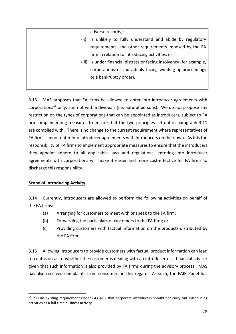|  | adverse records);                                              |
|--|----------------------------------------------------------------|
|  | Is unlikely to fully understand and abide by regulatory        |
|  | requirements, and other requirements imposed by the FA         |
|  | firm in relation to introducing activities; or                 |
|  | Is under financial distress or facing insolvency (for example, |
|  | corporations or individuals facing winding-up proceedings      |
|  | or a bankruptcy order).                                        |
|  |                                                                |

3.13 MAS proposes that FA firms be allowed to enter into introducer agreements with corporations<sup>18</sup> only, and not with individuals (i.e. natural persons). We do not propose any restriction on the types of corporations that can be appointed as introducers, subject to FA firms implementing measures to ensure that the two principles set out in paragraph 3.11 are complied with. There is no change to the current requirement where representatives of FA firms cannot enter into introducer agreements with introducers on their own. As it is the responsibility of FA firms to implement appropriate measures to ensure that the introducers they appoint adhere to all applicable laws and regulations, entering into introducer agreements with corporations will make it easier and more cost-effective for FA firms to discharge this responsibility.

# **Scope of Introducing Activity**

3.14 Currently, introducers are allowed to perform the following activities on behalf of the FA firms:

- (a) Arranging for customers to meet with or speak to the FA firm;
- (b) Forwarding the particulars of customers to the FA firm; or
- (c) Providing customers with factual information on the products distributed by the FA firm.

3.15 Allowing introducers to provide customers with factual product information can lead to confusion as to whether the customer is dealing with an introducer or a financial adviser given that such information is also provided by FA firms during the advisory process. MAS has also received complaints from consumers in this regard. As such, the FAIR Panel has

<sup>1</sup>  $18$  It is an existing requirement under FAA-N02 that corporate introducers should not carry out introducing activities as a full‐time business activity.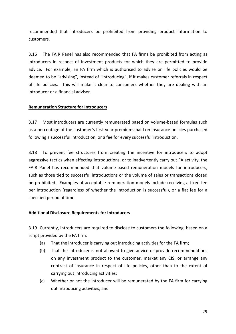recommended that introducers be prohibited from providing product information to customers.

3.16 The FAIR Panel has also recommended that FA firms be prohibited from acting as introducers in respect of investment products for which they are permitted to provide advice. For example, an FA firm which is authorised to advise on life policies would be deemed to be "advising", instead of "introducing", if it makes customer referrals in respect of life policies. This will make it clear to consumers whether they are dealing with an introducer or a financial adviser.

### **Remuneration Structure for Introducers**

3.17 Most introducers are currently remunerated based on volume‐based formulas such as a percentage of the customer's first year premiums paid on insurance policies purchased following a successful introduction, or a fee for every successful introduction.

3.18 To prevent fee structures from creating the incentive for introducers to adopt aggressive tactics when effecting introductions, or to inadvertently carry out FA activity, the FAIR Panel has recommended that volume‐based remuneration models for introducers, such as those tied to successful introductions or the volume of sales or transactions closed be prohibited. Examples of acceptable remuneration models include receiving a fixed fee per introduction (regardless of whether the introduction is successful), or a flat fee for a specified period of time.

#### **Additional Disclosure Requirements for Introducers**

3.19 Currently, introducers are required to disclose to customers the following, based on a script provided by the FA firm:

- (a) That the introducer is carrying out introducing activities for the FA firm;
- (b) That the introducer is not allowed to give advice or provide recommendations on any investment product to the customer, market any CIS, or arrange any contract of insurance in respect of life policies, other than to the extent of carrying out introducing activities;
- (c) Whether or not the introducer will be remunerated by the FA firm for carrying out introducing activities; and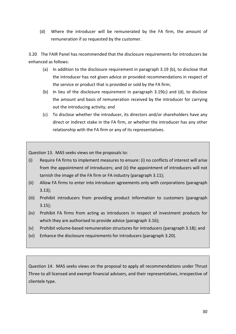(d) Where the introducer will be remunerated by the FA firm, the amount of remuneration if so requested by the customer.

3.20 The FAIR Panel has recommended that the disclosure requirements for introducers be enhanced as follows:

- (a) In addition to the disclosure requirement in paragraph 3.19 (b), to disclose that the introducer has not given advice or provided recommendations in respect of the service or product that is provided or sold by the FA firm;
- (b) In lieu of the disclosure requirement in paragraph 3.19(c) and (d), to disclose the amount and basis of remuneration received by the introducer for carrying out the introducing activity; and
- (c) To disclose whether the introducer, its directors and/or shareholders have any direct or indirect stake in the FA firm, or whether the introducer has any other relationship with the FA firm or any of its representatives.

Question 13. MAS seeks views on the proposals to:

- (i) Require FA firms to implement measures to ensure: (i) no conflicts of interest will arise from the appointment of introducers; and (ii) the appointment of introducers will not tarnish the image of the FA firm or FA industry (paragraph 3.11);
- (ii) Allow FA firms to enter into introducer agreements only with corporations (paragraph 3.13);
- (iii) Prohibit introducers from providing product information to customers (paragraph 3.15);
- (iv) Prohibit FA firms from acting as introducers in respect of investment products for which they are authorised to provide advice (paragraph 3.16);
- (v) Prohibit volume‐based remuneration structures for introducers (paragraph 3.18); and
- (vi) Enhance the disclosure requirements for introducers (paragraph 3.20).

Question 14. MAS seeks views on the proposal to apply all recommendations under Thrust Three to all licensed and exempt financial advisers, and their representatives, irrespective of clientele type.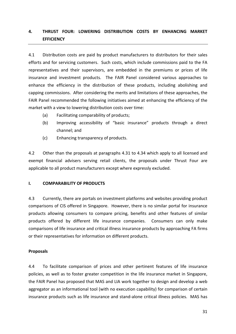# **4. THRUST FOUR: LOWERING DISTRIBUTION COSTS BY ENHANCING MARKET EFFICIENCY**

4.1 Distribution costs are paid by product manufacturers to distributors for their sales efforts and for servicing customers. Such costs, which include commissions paid to the FA representatives and their supervisors, are embedded in the premiums or prices of life insurance and investment products. The FAIR Panel considered various approaches to enhance the efficiency in the distribution of these products, including abolishing and capping commissions. After considering the merits and limitations of these approaches, the FAIR Panel recommended the following initiatives aimed at enhancing the efficiency of the market with a view to lowering distribution costs over time:

- (a) Facilitating comparability of products;
- (b) Improving accessibility of "basic insurance" products through a direct channel; and
- (c) Enhancing transparency of products.

4.2 Other than the proposals at paragraphs 4.31 to 4.34 which apply to all licensed and exempt financial advisers serving retail clients, the proposals under Thrust Four are applicable to all product manufacturers except where expressly excluded.

#### **I. COMPARABILITY OF PRODUCTS**

4.3 Currently, there are portals on investment platforms and websites providing product comparisons of CIS offered in Singapore. However, there is no similar portal for insurance products allowing consumers to compare pricing, benefits and other features of similar products offered by different life insurance companies. Consumers can only make comparisons of life insurance and critical illness insurance products by approaching FA firms or their representatives for information on different products.

#### **Proposals**

4.4 To facilitate comparison of prices and other pertinent features of life insurance policies, as well as to foster greater competition in the life insurance market in Singapore, the FAIR Panel has proposed that MAS and LIA work together to design and develop a web aggregator as an informational tool (with no execution capability) for comparison of certain insurance products such as life insurance and stand‐alone critical illness policies. MAS has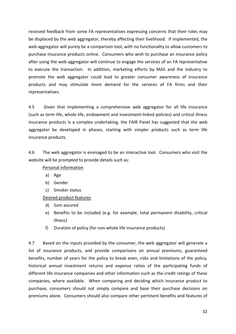received feedback from some FA representatives expressing concerns that their roles may be displaced by the web aggregator, thereby affecting their livelihood. If implemented, the web aggregator will purely be a comparison tool, with no functionality to allow customers to purchase insurance products online. Consumers who wish to purchase an insurance policy after using the web aggregator will continue to engage the services of an FA representative to execute the transaction. In addition, marketing efforts by MAS and the industry to promote the web aggregator could lead to greater consumer awareness of insurance products and may stimulate more demand for the services of FA firms and their representatives.

4.5 Given that implementing a comprehensive web aggregator for all life insurance (such as term life, whole life, endowment and investment‐linked policies) and critical illness insurance products is a complex undertaking, the FAIR Panel has suggested that the web aggregator be developed in phases, starting with simpler products such as term life insurance products.

4.6 The web aggregator is envisaged to be an interactive tool. Consumers who visit the website will be prompted to provide details such as:

Personal information

- a) Age
- b) Gender
- c) Smoker status

Desired product features

- d) Sum assured
- e) Benefits to be included (e.g. for example, total permanent disability, critical illness)
- f) Duration of policy (for non-whole life insurance products)

4.7 Based on the inputs provided by the consumer, the web aggregator will generate a list of insurance products, and provide comparisons on annual premiums, guaranteed benefits, number of years for the policy to break even, risks and limitations of the policy, historical annual investment returns and expense ratios of the participating funds of different life insurance companies and other information such as the credit ratings of these companies, where available. When comparing and deciding which insurance product to purchase, consumers should not simply compare and base their purchase decisions on premiums alone. Consumers should also compare other pertinent benefits and features of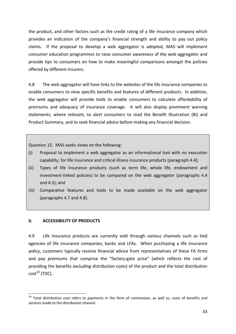the product, and other factors such as the credit rating of a life insurance company which provides an indication of the company's financial strength and ability to pay out policy claims. If the proposal to develop a web aggregator is adopted, MAS will implement consumer education programmes to raise consumer awareness of the web aggregator and provide tips to consumers on how to make meaningful comparisons amongst the policies offered by different insurers.

4.8 The web aggregator will have links to the websites of the life insurance companies to enable consumers to view specific benefits and features of different products. In addition, the web aggregator will provide tools to enable consumers to calculate affordability of premiums and adequacy of insurance coverage. It will also display prominent warning statements, where relevant, to alert consumers to read the Benefit Illustration (BI) and Product Summary, and to seek financial advice before making any financial decision.

Question 15. MAS seeks views on the following:

- (i) Proposal to implement a web aggregator as an informational tool with no execution capability, for life insurance and critical illness insurance products (paragraph 4.4);
- (ii) Types of life insurance products (such as term life, whole life, endowment and investment‐linked policies) to be compared on the web aggregator (paragraphs 4.4 and 4.5); and
- (iii) Comparative features and tools to be made available on the web aggregator (paragraphs 4.7 and 4.8).

#### **II. ACCESSIBILITY OF PRODUCTS**

1

4.9 Life insurance products are currently sold through various channels such as tied agencies of life insurance companies, banks and LFAs. When purchasing a life insurance policy, customers typically receive financial advice from representatives of these FA firms and pay premiums that comprise the "factory-gate price" (which reflects the cost of providing the benefits excluding distribution costs) of the product and the total distribution  $cost^{19}$  (TDC).

<sup>&</sup>lt;sup>19</sup> Total distribution cost refers to payments in the form of commission, as well as, costs of benefits and services made to the distribution channel.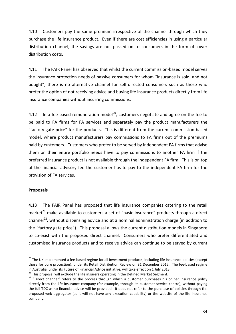4.10 Customers pay the same premium irrespective of the channel through which they purchase the life insurance product. Even if there are cost efficiencies in using a particular distribution channel, the savings are not passed on to consumers in the form of lower distribution costs.

4.11 The FAIR Panel has observed that whilst the current commission-based model serves the insurance protection needs of passive consumers for whom "insurance is sold, and not bought", there is no alternative channel for self-directed consumers such as those who prefer the option of not receiving advice and buying life insurance products directly from life insurance companies without incurring commissions.

4.12 In a fee-based remuneration model<sup>20</sup>, customers negotiate and agree on the fee to be paid to FA firms for FA services and separately pay the product manufacturers the "factory‐gate price" for the products. This is different from the current commission‐based model, where product manufacturers pay commissions to FA firms out of the premiums paid by customers. Customers who prefer to be served by independent FA firms that advise them on their entire portfolio needs have to pay commissions to another FA firm if the preferred insurance product is not available through the independent FA firm. This is on top of the financial advisory fee the customer has to pay to the independent FA firm for the provision of FA services.

#### **Proposals**

1

4.13 The FAIR Panel has proposed that life insurance companies catering to the retail market $^{21}$  make available to customers a set of "basic insurance" products through a direct channel<sup>22</sup>, without dispensing advice and at a nominal administration charge (in addition to the "factory gate price"). This proposal allows the current distribution models in Singapore to co-exist with the proposed direct channel. Consumers who prefer differentiated and customised insurance products and to receive advice can continue to be served by current

<sup>&</sup>lt;sup>20</sup> The UK implemented a fee-based regime for all investment products, including life insurance policies (except those for pure protection), under its Retail Distribution Review on 31 December 2012. The fee-based regime in Australia, under its Future of Financial Advice initiative, will take effect on 1 July 2013.<br><sup>21</sup> This proposal will exclude the life insurers operating in the Defined Market Segment.<br><sup>22</sup> "Direct channel" refers to th

directly from the life insurance company (for example, through its customer service centre), without paying the full TDC as no financial advice will be provided. It does not refer to the purchase of policies through the proposed web aggregator (as it will not have any execution capability) or the website of the life insurance company.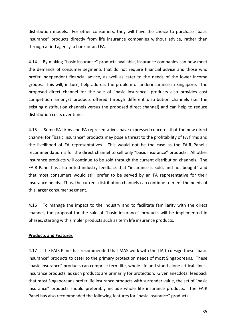distribution models. For other consumers, they will have the choice to purchase "basic insurance" products directly from life insurance companies without advice, rather than through a tied agency, a bank or an LFA.

4.14 By making "basic insurance" products available, insurance companies can now meet the demands of consumer segments that do not require financial advice and those who prefer independent financial advice, as well as cater to the needs of the lower income groups. This will, in turn, help address the problem of underinsurance in Singapore. The proposed direct channel for the sale of "basic insurance" products also provides cost competition amongst products offered through different distribution channels (i.e. the existing distribution channels versus the proposed direct channel) and can help to reduce distribution costs over time.

4.15 Some FA firms and FA representatives have expressed concerns that the new direct channel for "basic insurance" products may pose a threat to the profitability of FA firms and the livelihood of FA representatives. This would not be the case as the FAIR Panel's recommendation is for the direct channel to sell only "basic insurance" products. All other insurance products will continue to be sold through the current distribution channels. The FAIR Panel has also noted industry feedback that "insurance is sold, and not bought" and that most consumers would still prefer to be served by an FA representative for their insurance needs. Thus, the current distribution channels can continue to meet the needs of this larger consumer segment.

4.16 To manage the impact to the industry and to facilitate familiarity with the direct channel, the proposal for the sale of "basic insurance" products will be implemented in phases, starting with simpler products such as term life insurance products.

#### **Products and Features**

4.17 The FAIR Panel has recommended that MAS work with the LIA to design these "basic insurance" products to cater to the primary protection needs of most Singaporeans. These "basic insurance" products can comprise term life, whole life and stand‐alone critical illness insurance products, as such products are primarily for protection. Given anecdotal feedback that most Singaporeans prefer life insurance products with surrender value, the set of "basic insurance" products should preferably include whole life insurance products. The FAIR Panel has also recommended the following features for "basic insurance" products: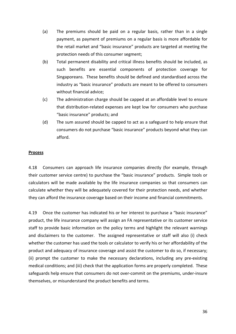- (a) The premiums should be paid on a regular basis, rather than in a single payment, as payment of premiums on a regular basis is more affordable for the retail market and "basic insurance" products are targeted at meeting the protection needs of this consumer segment;
- (b) Total permanent disability and critical illness benefits should be included, as such benefits are essential components of protection coverage for Singaporeans. These benefits should be defined and standardised across the industry as "basic insurance" products are meant to be offered to consumers without financial advice;
- (c) The administration charge should be capped at an affordable level to ensure that distribution‐related expenses are kept low for consumers who purchase "basic insurance" products; and
- (d) The sum assured should be capped to act as a safeguard to help ensure that consumers do not purchase "basic insurance" products beyond what they can afford.

### **Process**

4.18 Consumers can approach life insurance companies directly (for example, through their customer service centre) to purchase the "basic insurance" products. Simple tools or calculators will be made available by the life insurance companies so that consumers can calculate whether they will be adequately covered for their protection needs, and whether they can afford the insurance coverage based on their income and financial commitments.

4.19 Once the customer has indicated his or her interest to purchase a "basic insurance" product, the life insurance company will assign an FA representative or its customer service staff to provide basic information on the policy terms and highlight the relevant warnings and disclaimers to the customer. The assigned representative or staff will also (i) check whether the customer has used the tools or calculator to verify his or her affordability of the product and adequacy of insurance coverage and assist the customer to do so, if necessary; (ii) prompt the customer to make the necessary declarations, including any pre‐existing medical conditions; and (iii) check that the application forms are properly completed. These safeguards help ensure that consumers do not over‐commit on the premiums, under‐insure themselves, or misunderstand the product benefits and terms.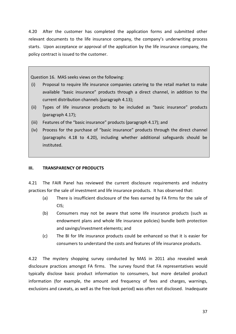4.20 After the customer has completed the application forms and submitted other relevant documents to the life insurance company, the company's underwriting process starts. Upon acceptance or approval of the application by the life insurance company, the policy contract is issued to the customer.

Question 16. MAS seeks views on the following:

- (i) Proposal to require life insurance companies catering to the retail market to make available "basic insurance" products through a direct channel, in addition to the current distribution channels (paragraph 4.13);
- (ii) Types of life insurance products to be included as "basic insurance" products (paragraph 4.17);
- (iii) Features of the "basic insurance" products (paragraph 4.17); and
- (iv) Process for the purchase of "basic insurance" products through the direct channel (paragraphs 4.18 to 4.20), including whether additional safeguards should be instituted.

# **III. TRANSPARENCY OF PRODUCTS**

4.21 The FAIR Panel has reviewed the current disclosure requirements and industry practices for the sale of investment and life insurance products. It has observed that:

- (a) There is insufficient disclosure of the fees earned by FA firms for the sale of CIS;
- (b) Consumers may not be aware that some life insurance products (such as endowment plans and whole life insurance policies) bundle both protection and savings/investment elements; and
- (c) The BI for life insurance products could be enhanced so that it is easier for consumers to understand the costs and features of life insurance products.

4.22 The mystery shopping survey conducted by MAS in 2011 also revealed weak disclosure practices amongst FA firms. The survey found that FA representatives would typically disclose basic product information to consumers, but more detailed product information (for example, the amount and frequency of fees and charges, warnings, exclusions and caveats, as well as the free‐look period) was often not disclosed. Inadequate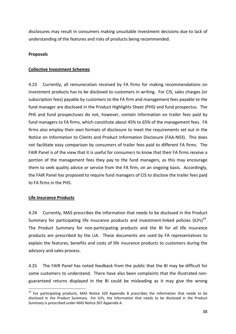disclosures may result in consumers making unsuitable investment decisions due to lack of understanding of the features and risks of products being recommended.

## **Proposals**

## **Collective Investment Schemes**

4.23 Currently, all remuneration received by FA firms for making recommendations on investment products has to be disclosed to customers in writing. For CIS, sales charges (or subscription fees) payable by customers to the FA firm and management fees payable to the fund manager are disclosed in the Product Highlights Sheet (PHS) and fund prospectus. The PHS and fund prospectuses do not, however, contain information on trailer fees paid by fund managers to FA firms, which constitute about 45% to 65% of the management fees. FA firms also employ their own formats of disclosure to meet the requirements set out in the Notice on Information to Clients and Product Information Disclosure (FAA‐N03). This does not facilitate easy comparison by consumers of trailer fees paid to different FA firms. The FAIR Panel is of the view that it is useful for consumers to know that their FA firms receive a portion of the management fees they pay to the fund managers, as this may encourage them to seek quality advice or service from the FA firm, on an ongoing basis. Accordingly, the FAIR Panel has proposed to require fund managers of CIS to disclose the trailer fees paid to FA firms in the PHS.

#### **Life Insurance Products**

1

4.24 Currently, MAS prescribes the information that needs to be disclosed in the Product Summary for participating life insurance products and investment-linked policies (ILPs) $^{23}$ . The Product Summary for non‐participating products and the BI for all life insurance products are prescribed by the LIA. These documents are used by FA representatives to explain the features, benefits and costs of life insurance products to customers during the advisory and sales process.

4.25 The FAIR Panel has noted feedback from the public that the BI may be difficult for some customers to understand. There have also been complaints that the illustrated nonguaranteed returns displayed in the BI could be misleading as it may give the wrong

<sup>&</sup>lt;sup>23</sup> For participating products, MAS Notice 320 Appendix B prescribes the information that needs to be disclosed in the Product Summary. For ILPs, the information that needs to be disclosed in the Product Summary is prescribed under MAS Notice 307 Appendix A.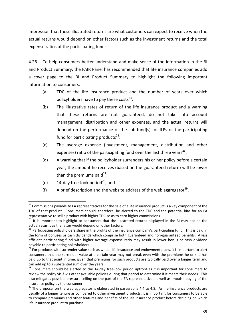impression that these illustrated returns are what customers can expect to receive when the actual returns would depend on other factors such as the investment returns and the total expense ratios of the participating funds.

4.26 To help consumers better understand and make sense of the information in the BI and Product Summary, the FAIR Panel has recommended that life insurance companies add a cover page to the BI and Product Summary to highlight the following important information to consumers:

- (a) TDC of the life insurance product and the number of years over which policyholders have to pay these costs<sup>24</sup>;
- (b) The illustrative rates of return of the life insurance product and a warning that these returns are not guaranteed, do not take into account management, distribution and other expenses, and the actual returns will depend on the performance of the sub‐fund(s) for ILPs or the participating fund for participating products<sup>25</sup>;
- (c) The average expense (investment, management, distribution and other expenses) ratio of the participating fund over the last three years<sup>26</sup>;
- (d) A warning that if the policyholder surrenders his or her policy before a certain year, the amount he receives (based on the guaranteed return) will be lower than the premiums paid<sup>27</sup>;
- (e)  $14$ -day free-look period<sup>28</sup>; and

1

(f) A brief description and the website address of the web aggregator<sup>29</sup>.

<sup>&</sup>lt;sup>24</sup> Commissions payable to FA representatives for the sale of a life insurance product is a key component of the TDC of that product. Consumers should, therefore, be alerted to the TDC and the potential bias for an FA

representative to sell a product with higher TDC so as to earn higher commissions.<br><sup>25</sup> It is important to highlight to consumers that the illustrated returns displayed in the BI may not be the actual returns as the latter would depend on other factors.<br><sup>26</sup> Participating policyholders share in the profits of the insurance company's participating fund. This is paid in

the form of bonuses or cash dividends which comprise both guaranteed and non-guaranteed benefits. A less efficient participating fund with higher average expense ratio may result in lower bonus or cash dividend payable to participating policyholders.<br><sup>27</sup> For products with surrender value such as whole life insurance and endowment plans, it is important to alert

consumers that the surrender value at a certain year may not break‐even with the premiums he or she has paid up to that point in time, given that premiums for such products are typically paid over a longer term and can add up to a substantial sum over the years.<br>
 <sup>28</sup> Consumers should be alerted to the 14-day free-look period upfront as it is important for consumers to

review the policy vis‐à‐vis other available policies during that period to determine if it meets their needs. This also mitigates possible pressure‐selling on the part of the FA representative, as well as impulse buying of the insurance policy by the consumer.<br>
<sup>29</sup> The proposal on the web aggregator is elaborated in paragraphs 4.4 to 4.8. As life insurance products are

usually of a longer tenure as compared to other investment products, it is important for consumers to be able to compare premiums and other features and benefits of the life insurance product before deciding on which life insurance product to purchase.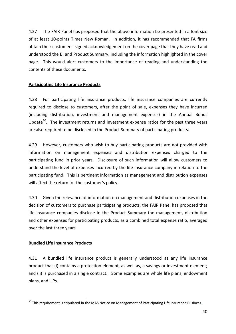4.27 The FAIR Panel has proposed that the above information be presented in a font size of at least 10‐points Times New Roman. In addition, it has recommended that FA firms obtain their customers' signed acknowledgement on the cover page that they have read and understood the BI and Product Summary, including the information highlighted in the cover page. This would alert customers to the importance of reading and understanding the contents of these documents.

## **Participating Life Insurance Products**

4.28 For participating life insurance products, life insurance companies are currently required to disclose to customers, after the point of sale, expenses they have incurred (including distribution, investment and management expenses) in the Annual Bonus Update $30$ . The investment returns and investment expense ratios for the past three years are also required to be disclosed in the Product Summary of participating products.

4.29 However, customers who wish to buy participating products are not provided with information on management expenses and distribution expenses charged to the participating fund in prior years. Disclosure of such information will allow customers to understand the level of expenses incurred by the life insurance company in relation to the participating fund. This is pertinent information as management and distribution expenses will affect the return for the customer's policy.

4.30 Given the relevance of information on management and distribution expenses in the decision of customers to purchase participating products, the FAIR Panel has proposed that life insurance companies disclose in the Product Summary the management, distribution and other expenses for participating products, as a combined total expense ratio, averaged over the last three years.

# **Bundled Life Insurance Products**

1

4.31 A bundled life insurance product is generally understood as any life insurance product that (i) contains a protection element, as well as, a savings or investment element; and (ii) is purchased in a single contract. Some examples are whole life plans, endowment plans, and ILPs.

<sup>&</sup>lt;sup>30</sup> This requirement is stipulated in the MAS Notice on Management of Participating Life Insurance Business.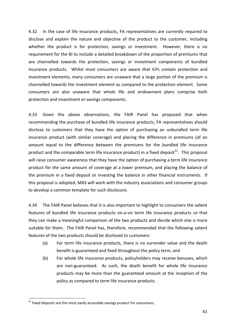4.32 In the case of life insurance products, FA representatives are currently required to disclose and explain the nature and objective of the product to the customer, including whether the product is for protection, savings or investment. However, there is no requirement for the BI to include a detailed breakdown of the proportion of premiums that are channelled towards the protection, savings or investment components of bundled insurance products. Whilst most consumers are aware that ILPs contain protection and investment elements, many consumers are unaware that a large portion of the premium is channelled towards the investment element as compared to the protection element. Some consumers are also unaware that whole life and endowment plans comprise both protection and investment or savings components.

4.33 Given the above observations, the FAIR Panel has proposed that when recommending the purchase of bundled life insurance products, FA representatives should disclose to customers that they have the option of purchasing an unbundled term life insurance product (with similar coverage) and placing the difference in premiums (of an amount equal to the difference between the premiums for the bundled life insurance product and the comparable term life insurance product) in a fixed deposit $^{31}$ . This proposal will raise consumer awareness that they have the option of purchasing a term life insurance product for the same amount of coverage at a lower premium, and placing the balance of the premium in a fixed deposit or investing the balance in other financial instruments. If this proposal is adopted, MAS will work with the industry associations and consumer groups to develop a common template for such disclosure.

4.34 The FAIR Panel believes that it is also important to highlight to consumers the salient features of bundled life insurance products vis-a-vis term life insurance products so that they can make a meaningful comparison of the two products and decide which one is more suitable for them. The FAIR Panel has, therefore, recommended that the following salient features of the two products should be disclosed to customers:

- (a) For term life insurance products, there is no surrender value and the death benefit is guaranteed and fixed throughout the policy term; and
- (b) For whole life insurance products, policyholders may receive bonuses, which are non-guaranteed. As such, the death benefit for whole life insurance products may be more than the guaranteed amount at the inception of the policy as compared to term life insurance products.

1

 $31$  Fixed deposits are the most easily accessible savings product for consumers.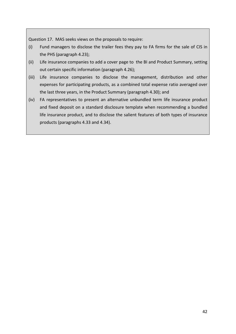Question 17. MAS seeks views on the proposals to require:

- (i) Fund managers to disclose the trailer fees they pay to FA firms for the sale of CIS in the PHS (paragraph 4.23);
- (ii) Life insurance companies to add a cover page to the BI and Product Summary, setting out certain specific information (paragraph 4.26);
- (iii) Life insurance companies to disclose the management, distribution and other expenses for participating products, as a combined total expense ratio averaged over the last three years, in the Product Summary (paragraph 4.30); and
- (iv) FA representatives to present an alternative unbundled term life insurance product and fixed deposit on a standard disclosure template when recommending a bundled life insurance product, and to disclose the salient features of both types of insurance products (paragraphs 4.33 and 4.34).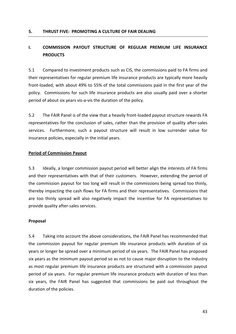#### **5. THRUST FIVE: PROMOTING A CULTURE OF FAIR DEALING**

# **I. COMMISSION PAYOUT STRUCTURE OF REGULAR PREMIUM LIFE INSURANCE PRODUCTS**

5.1 Compared to investment products such as CIS, the commissions paid to FA firms and their representatives for regular premium life insurance products are typically more heavily front-loaded, with about 49% to 55% of the total commissions paid in the first year of the policy. Commissions for such life insurance products are also usually paid over a shorter period of about six years vis‐a‐vis the duration of the policy.

5.2 The FAIR Panel is of the view that a heavily front‐loaded payout structure rewards FA representatives for the conclusion of sales, rather than the provision of quality after‐sales services. Furthermore, such a payout structure will result in low surrender value for insurance policies, especially in the initial years.

#### **Period of Commission Payout**

5.3 Ideally, a longer commission payout period will better align the interests of FA firms and their representatives with that of their customers. However, extending the period of the commission payout for too long will result in the commissions being spread too thinly, thereby impacting the cash flows for FA firms and their representatives. Commissions that are too thinly spread will also negatively impact the incentive for FA representatives to provide quality after‐sales services.

#### **Proposal**

5.4 Taking into account the above considerations, the FAIR Panel has recommended that the commission payout for regular premium life insurance products with duration of six years or longer be spread over a minimum period of six years. The FAIR Panel has proposed six years as the minimum payout period so as not to cause major disruption to the industry as most regular premium life insurance products are structured with a commission payout period of six years. For regular premium life insurance products with duration of less than six years, the FAIR Panel has suggested that commissions be paid out throughout the duration of the policies.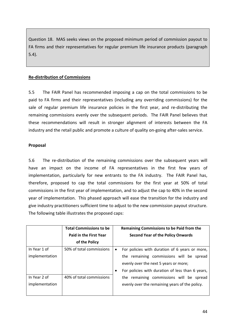Question 18. MAS seeks views on the proposed minimum period of commission payout to FA firms and their representatives for regular premium life insurance products (paragraph 5.4).

# **Re‐distribution of Commissions**

5.5 The FAIR Panel has recommended imposing a cap on the total commissions to be paid to FA firms and their representatives (including any overriding commissions) for the sale of regular premium life insurance policies in the first year, and re-distributing the remaining commissions evenly over the subsequent periods. The FAIR Panel believes that these recommendations will result in stronger alignment of interests between the FA industry and the retail public and promote a culture of quality on‐going after‐sales service.

### **Proposal**

5.6 The re-distribution of the remaining commissions over the subsequent years will have an impact on the income of FA representatives in the first few years of implementation, particularly for new entrants to the FA industry. The FAIR Panel has, therefore, proposed to cap the total commissions for the first year at 50% of total commissions in the first year of implementation, and to adjust the cap to 40% in the second year of implementation. This phased approach will ease the transition for the industry and give industry practitioners sufficient time to adjust to the new commission payout structure. The following table illustrates the proposed caps:

|                | <b>Total Commissions to be</b> | Remaining Commissions to be Paid from the                   |
|----------------|--------------------------------|-------------------------------------------------------------|
|                | <b>Paid in the First Year</b>  | <b>Second Year of the Policy Onwards</b>                    |
|                | of the Policy                  |                                                             |
| In Year 1 of   | 50% of total commissions       | For policies with duration of 6 years or more,<br>$\bullet$ |
| implementation |                                | the remaining commissions will be spread                    |
|                |                                | evenly over the next 5 years or more;                       |
|                |                                | For policies with duration of less than 6 years,            |
| In Year 2 of   | 40% of total commissions       | the remaining commissions will be spread                    |
| implementation |                                | evenly over the remaining years of the policy.              |
|                |                                |                                                             |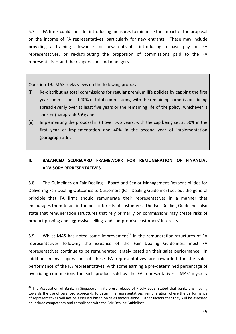5.7 FA firms could consider introducing measures to minimise the impact of the proposal on the income of FA representatives, particularly for new entrants. These may include providing a training allowance for new entrants, introducing a base pay for FA representatives, or re-distributing the proportion of commissions paid to the FA representatives and their supervisors and managers.

Question 19. MAS seeks views on the following proposals:

- (i) Re‐distributing total commissions for regular premium life policies by capping the first year commissions at 40% of total commissions, with the remaining commissions being spread evenly over at least five years or the remaining life of the policy, whichever is shorter (paragraph 5.6); and
- (ii) Implementing the proposal in (i) over two years, with the cap being set at 50% in the first year of implementation and 40% in the second year of implementation (paragraph 5.6).

# **II. BALANCED SCORECARD FRAMEWORK FOR REMUNERATION OF FINANCIAL ADVISORY REPRESENTATIVES**

5.8 The Guidelines on Fair Dealing – Board and Senior Management Responsibilities for Delivering Fair Dealing Outcomes to Customers (Fair Dealing Guidelines) set out the general principle that FA firms should remunerate their representatives in a manner that encourages them to act in the best interests of customers. The Fair Dealing Guidelines also state that remuneration structures that rely primarily on commissions may create risks of product pushing and aggressive selling, and compromise customers' interests.

5.9 Whilst MAS has noted some improvement<sup>32</sup> in the remuneration structures of FA representatives following the issuance of the Fair Dealing Guidelines, most FA representatives continue to be remunerated largely based on their sales performance. In addition, many supervisors of these FA representatives are rewarded for the sales performance of the FA representatives, with some earning a pre‐determined percentage of overriding commissions for each product sold by the FA representatives. MAS' mystery

1

 $32$  The Association of Banks in Singapore, in its press release of 7 July 2009, stated that banks are moving towards the use of balanced scorecards to determine representatives' remuneration where the performance of representatives will not be assessed based on sales factors alone. Other factors that they will be assessed on include competency and compliance with the Fair Dealing Guidelines.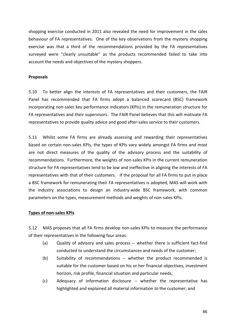shopping exercise conducted in 2011 also revealed the need for improvement in the sales behaviour of FA representatives. One of the key observations from the mystery shopping exercise was that a third of the recommendations provided by the FA representatives surveyed were "clearly unsuitable" as the products recommended failed to take into account the needs and objectives of the mystery shoppers.

#### **Proposals**

5.10 To better align the interests of FA representatives and their customers, the FAIR Panel has recommended that FA firms adopt a balanced scorecard (BSC) framework incorporating non‐sales key performance indicators (KPIs) in the remuneration structure for FA representatives and their supervisors. The FAIR Panel believes that this will motivate FA representatives to provide quality advice and good after‐sales service to their customers.

5.11 Whilst some FA firms are already assessing and rewarding their representatives based on certain non‐sales KPIs, the types of KPIs vary widely amongst FA firms and most are not direct measures of the quality of the advisory process and the suitability of recommendations. Furthermore, the weights of non‐sales KPIs in the current remuneration structure for FA representatives tend to be low and ineffective in aligning the interests of FA representatives with that of their customers. If the proposal for all FA firms to put in place a BSC framework for remunerating their FA representatives is adopted, MAS will work with the industry associations to design an industry‐wide BSC framework, with common parameters on the types, measurement methods and weights of non‐sales KPIs.

#### **Types of non‐sales KPIs**

5.12 MAS proposes that all FA firms develop non‐sales KPIs to measure the performance of their representatives in the following four areas:

- (a) Quality of advisory and sales process -- whether there is sufficient fact-find conducted to understand the circumstances and needs of the customer;
- (b) Suitability of recommendations ‐‐ whether the product recommended is suitable for the customer based on his or her financial objectives, investment horizon, risk profile, financial situation and particular needs;
- (c) Adequacy of information disclosure ‐‐ whether the representative has highlighted and explained all material information to the customer; and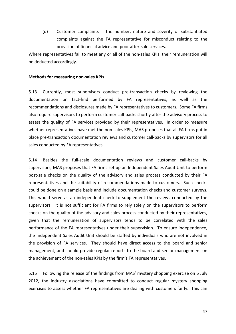(d) Customer complaints ‐‐ the number, nature and severity of substantiated complaints against the FA representative for misconduct relating to the provision of financial advice and poor after‐sale services.

Where representatives fail to meet any or all of the non-sales KPIs, their remuneration will be deducted accordingly.

#### **Methods for measuring non‐sales KPIs**

5.13 Currently, most supervisors conduct pre-transaction checks by reviewing the documentation on fact‐find performed by FA representatives, as well as the recommendations and disclosures made by FA representatives to customers. Some FA firms also require supervisors to perform customer call‐backs shortly after the advisory process to assess the quality of FA services provided by their representatives. In order to measure whether representatives have met the non-sales KPIs, MAS proposes that all FA firms put in place pre‐transaction documentation reviews and customer call‐backs by supervisors for all sales conducted by FA representatives.

5.14 Besides the full‐scale documentation reviews and customer call‐backs by supervisors, MAS proposes that FA firms set up an Independent Sales Audit Unit to perform post-sale checks on the quality of the advisory and sales process conducted by their FA representatives and the suitability of recommendations made to customers. Such checks could be done on a sample basis and include documentation checks and customer surveys. This would serve as an independent check to supplement the reviews conducted by the supervisors. It is not sufficient for FA firms to rely solely on the supervisors to perform checks on the quality of the advisory and sales process conducted by their representatives, given that the remuneration of supervisors tends to be correlated with the sales performance of the FA representatives under their supervision. To ensure independence, the Independent Sales Audit Unit should be staffed by individuals who are not involved in the provision of FA services. They should have direct access to the board and senior management, and should provide regular reports to the board and senior management on the achievement of the non-sales KPIs by the firm's FA representatives.

5.15 Following the release of the findings from MAS' mystery shopping exercise on 6 July 2012, the industry associations have committed to conduct regular mystery shopping exercises to assess whether FA representatives are dealing with customers fairly. This can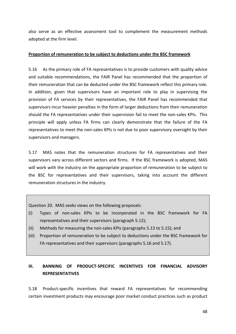also serve as an effective assessment tool to complement the measurement methods adopted at the firm level.

### **Proportion of remuneration to be subject to deductions under the BSC framework**

5.16 As the primary role of FA representatives is to provide customers with quality advice and suitable recommendations, the FAIR Panel has recommended that the proportion of their remuneration that can be deducted under the BSC framework reflect this primary role. In addition, given that supervisors have an important role to play in supervising the provision of FA services by their representatives, the FAIR Panel has recommended that supervisors incur heavier penalties in the form of larger deductions from their remuneration should the FA representatives under their supervision fail to meet the non-sales KPIs. This principle will apply unless FA firms can clearly demonstrate that the failure of the FA representatives to meet the non‐sales KPIs is not due to poor supervisory oversight by their supervisors and managers.

5.17 MAS notes that the remuneration structures for FA representatives and their supervisors vary across different sectors and firms. If the BSC framework is adopted, MAS will work with the industry on the appropriate proportion of remuneration to be subject to the BSC for representatives and their supervisors, taking into account the different remuneration structures in the industry.

Question 20. MAS seeks views on the following proposals:

- (i) Types of non‐sales KPIs to be incorporated in the BSC framework for FA representatives and their supervisors (paragraph 5.12);
- (ii) Methods for measuring the non‐sales KPIs (paragraphs 5.13 to 5.15); and
- (iii) Proportion of remuneration to be subject to deductions under the BSC framework for FA representatives and their supervisors (paragraphs 5.16 and 5.17).

# **III. BANNING OF PRODUCT‐SPECIFIC INCENTIVES FOR FINANCIAL ADVISORY REPRESENTATIVES**

5.18 Product‐specific incentives that reward FA representatives for recommending certain investment products may encourage poor market conduct practices such as product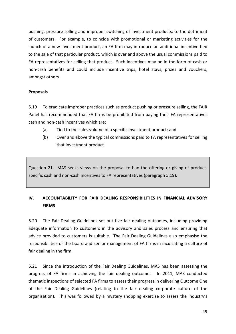pushing, pressure selling and improper switching of investment products, to the detriment of customers. For example, to coincide with promotional or marketing activities for the launch of a new investment product, an FA firm may introduce an additional incentive tied to the sale of that particular product, which is over and above the usual commissions paid to FA representatives for selling that product. Such incentives may be in the form of cash or non‐cash benefits and could include incentive trips, hotel stays, prizes and vouchers, amongst others.

### **Proposals**

5.19 To eradicate improper practices such as product pushing or pressure selling, the FAIR Panel has recommended that FA firms be prohibited from paying their FA representatives cash and non‐cash incentives which are:

- (a) Tied to the sales volume of a specific investment product; and
- (b) Over and above the typical commissions paid to FA representatives for selling that investment product.

Question 21. MAS seeks views on the proposal to ban the offering or giving of product‐ specific cash and non-cash incentives to FA representatives (paragraph 5.19).

# **IV. ACCOUNTABILITY FOR FAIR DEALING RESPONSIBILITIES IN FINANCIAL ADVISORY FIRMS**

5.20 The Fair Dealing Guidelines set out five fair dealing outcomes, including providing adequate information to customers in the advisory and sales process and ensuring that advice provided to customers is suitable. The Fair Dealing Guidelines also emphasise the responsibilities of the board and senior management of FA firms in inculcating a culture of fair dealing in the firm.

5.21 Since the introduction of the Fair Dealing Guidelines, MAS has been assessing the progress of FA firms in achieving the fair dealing outcomes. In 2011, MAS conducted thematic inspections of selected FA firms to assess their progress in delivering Outcome One of the Fair Dealing Guidelines (relating to the fair dealing corporate culture of the organisation). This was followed by a mystery shopping exercise to assess the industry's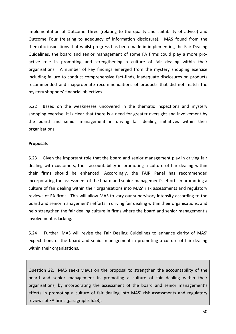implementation of Outcome Three (relating to the quality and suitability of advice) and Outcome Four (relating to adequacy of information disclosure). MAS found from the thematic inspections that whilst progress has been made in implementing the Fair Dealing Guidelines, the board and senior management of some FA firms could play a more pro‐ active role in promoting and strengthening a culture of fair dealing within their organisations. A number of key findings emerged from the mystery shopping exercise including failure to conduct comprehensive fact-finds, inadequate disclosures on products recommended and inappropriate recommendations of products that did not match the mystery shoppers' financial objectives.

5.22 Based on the weaknesses uncovered in the thematic inspections and mystery shopping exercise, it is clear that there is a need for greater oversight and involvement by the board and senior management in driving fair dealing initiatives within their organisations.

#### **Proposals**

5.23 Given the important role that the board and senior management play in driving fair dealing with customers, their accountability in promoting a culture of fair dealing within their firms should be enhanced. Accordingly, the FAIR Panel has recommended incorporating the assessment of the board and senior management's efforts in promoting a culture of fair dealing within their organisations into MAS' risk assessments and regulatory reviews of FA firms. This will allow MAS to vary our supervisory intensity according to the board and senior management's efforts in driving fair dealing within their organisations, and help strengthen the fair dealing culture in firms where the board and senior management's involvement is lacking.

5.24 Further, MAS will revise the Fair Dealing Guidelines to enhance clarity of MAS' expectations of the board and senior management in promoting a culture of fair dealing within their organisations.

Question 22. MAS seeks views on the proposal to strengthen the accountability of the board and senior management in promoting a culture of fair dealing within their organisations, by incorporating the assessment of the board and senior management's efforts in promoting a culture of fair dealing into MAS' risk assessments and regulatory reviews of FA firms (paragraphs 5.23).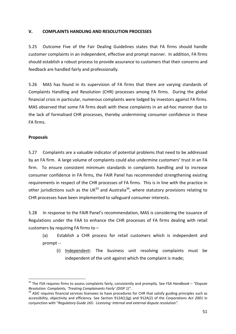### **V. COMPLAINTS HANDLING AND RESOLUTION PROCESSES**

5.25 Outcome Five of the Fair Dealing Guidelines states that FA firms should handle customer complaints in an independent, effective and prompt manner. In addition, FA firms should establish a robust process to provide assurance to customers that their concerns and feedback are handled fairly and professionally.

5.26 MAS has found in its supervision of FA firms that there are varying standards of Complaints Handling and Resolution (CHR) processes among FA firms. During the global financial crisis in particular, numerous complaints were lodged by investors against FA firms. MAS observed that some FA firms dealt with these complaints in an ad‐hoc manner due to the lack of formalised CHR processes, thereby undermining consumer confidence in these FA firms.

### **Proposals**

1

5.27 Complaints are a valuable indicator of potential problems that need to be addressed by an FA firm. A large volume of complaints could also undermine customers' trust in an FA firm. To ensure consistent minimum standards in complaints handling and to increase consumer confidence in FA firms, the FAIR Panel has recommended strengthening existing requirements in respect of the CHR processes of FA firms. This is in line with the practice in other jurisdictions such as the UK $^{33}$  and Australia<sup>34</sup>, where statutory provisions relating to CHR processes have been implemented to safeguard consumer interests.

5.28 In response to the FAIR Panel's recommendation, MAS is considering the issuance of Regulations under the FAA to enhance the CHR processes of FA firms dealing with retail customers by requiring FA firms to –

(a) Establish a CHR process for retail customers which is independent and prompt ‐‐

(i) Independent: The business unit resolving complaints must be independent of the unit against which the complaint is made;

<sup>33</sup> The FSA requires firms to assess complaints fairly, consistently and promptly. See *FSA Handbook – "Dispute* Resolution: Complaints, 'Treating Complainants Fairly' (DISP 1)".<br><sup>34</sup> ASIC requires financial services licensees to have procedures for CHR that satisfy guiding principles such as

accessibility, objectivity and efficiency. See Section 912A(1)(g) and 912A(2) of the *Corporations Act 2001* in conjunction with "*Regulatory Guide 165: Licensing: Internal and external dispute resolution".*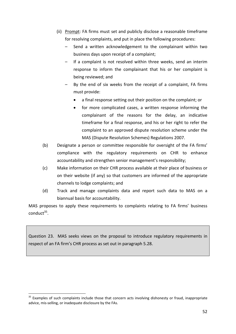- (ii) Prompt: FA firms must set and publicly disclose a reasonable timeframe for resolving complaints, and put in place the following procedures:
	- Send a written acknowledgement to the complainant within two business days upon receipt of a complaint;
	- If a complaint is not resolved within three weeks, send an interim response to inform the complainant that his or her complaint is being reviewed; and
	- By the end of six weeks from the receipt of a complaint, FA firms must provide:
		- a final response setting out their position on the complaint; or
		- for more complicated cases, a written response informing the complainant of the reasons for the delay, an indicative timeframe for a final response, and his or her right to refer the complaint to an approved dispute resolution scheme under the MAS (Dispute Resolution Schemes) Regulations 2007.
- (b) Designate a person or committee responsible for oversight of the FA firms' compliance with the regulatory requirements on CHR to enhance accountability and strengthen senior management's responsibility;
- (c) Make information on their CHR process available at their place of business or on their website (if any) so that customers are informed of the appropriate channels to lodge complaints; and
- (d) Track and manage complaints data and report such data to MAS on a biannual basis for accountability.

MAS proposes to apply these requirements to complaints relating to FA firms' business  $\text{conduct}^{35}$ .

Question 23. MAS seeks views on the proposal to introduce regulatory requirements in respect of an FA firm's CHR process as set out in paragraph 5.28.

1

<sup>&</sup>lt;sup>35</sup> Examples of such complaints include those that concern acts involving dishonesty or fraud, inappropriate advice, mis‐selling, or inadequate disclosure by the FAs.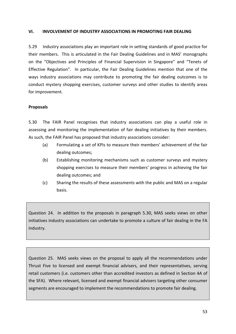#### **VI. INVOLVEMENT OF INDUSTRY ASSOCIATIONS IN PROMOTING FAIR DEALING**

5.29 Industry associations play an important role in setting standards of good practice for their members. This is articulated in the Fair Dealing Guidelines and in MAS' monographs on the "Objectives and Principles of Financial Supervision in Singapore" and "Tenets of Effective Regulation". In particular, the Fair Dealing Guidelines mention that one of the ways industry associations may contribute to promoting the fair dealing outcomes is to conduct mystery shopping exercises, customer surveys and other studies to identify areas for improvement.

# **Proposals**

5.30 The FAIR Panel recognises that industry associations can play a useful role in assessing and monitoring the implementation of fair dealing initiatives by their members. As such, the FAIR Panel has proposed that industry associations consider:

- (a) Formulating a set of KPIs to measure their members' achievement of the fair dealing outcomes;
- (b) Establishing monitoring mechanisms such as customer surveys and mystery shopping exercises to measure their members' progress in achieving the fair dealing outcomes; and
- (c) Sharing the results of these assessments with the public and MAS on a regular basis.

Question 24. In addition to the proposals in paragraph 5.30, MAS seeks views on other initiatives industry associations can undertake to promote a culture of fair dealing in the FA industry.

Question 25. MAS seeks views on the proposal to apply all the recommendations under Thrust Five to licensed and exempt financial advisers, and their representatives, serving retail customers (i.e. customers other than accredited investors as defined in Section 4A of the SFA). Where relevant, licensed and exempt financial advisers targeting other consumer segments are encouraged to implement the recommendations to promote fair dealing.